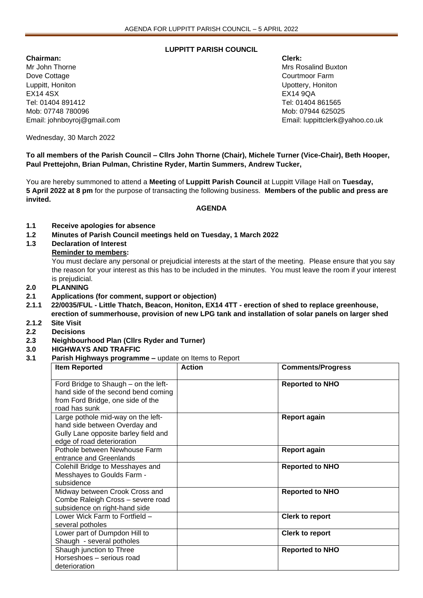## **LUPPITT PARISH COUNCIL**

**Chairman: Clerk:** Mr John Thorne Mrs Rosalind Buxton Mrs Rosalind Buxton Mrs Rosalind Buxton Dove Cottage **Courtmoon Courtmoon Courtmoon Courtmoon Courtmoon Farm** Luppitt, Honiton Upottery, Honiton EX14 4SX EX14 9QA Tel: 01404 891412 Tel: 01404 861565 Mob: 07748 780096 Mob: 07944 625025

Email: johnboyroj@gmail.com Email: luppittclerk@yahoo.co.uk

Wednesday, 30 March 2022

**To all members of the Parish Council – Cllrs John Thorne (Chair), Michele Turner (Vice-Chair), Beth Hooper, Paul Prettejohn, Brian Pulman, Christine Ryder, Martin Summers, Andrew Tucker,** 

You are hereby summoned to attend a **Meeting** of **Luppitt Parish Council** at Luppitt Village Hall on **Tuesday, 5 April 2022 at 8 pm** for the purpose of transacting the following business. **Members of the public and press are invited.**

## **AGENDA**

- **1.1 Receive apologies for absence**
- **1.2 Minutes of Parish Council meetings held on Tuesday, 1 March 2022**
- **1.3 Declaration of Interest**

## **Reminder to members:**

You must declare any personal or prejudicial interests at the start of the meeting. Please ensure that you say the reason for your interest as this has to be included in the minutes. You must leave the room if your interest is prejudicial.

- **2.0 PLANNING**
- **2.1 Applications (for comment, support or objection)**
- **2.1.1 22/0035/FUL - Little Thatch, Beacon, Honiton, EX14 4TT - erection of shed to replace greenhouse, erection of summerhouse, provision of new LPG tank and installation of solar panels on larger shed**
- **2.1.2 Site Visit**
- **2.2 Decisions**
- **2.3 Neighbourhood Plan (Cllrs Ryder and Turner)**
- **3.0 HIGHWAYS AND TRAFFIC**
- **3.1 Parish Highways programme –** update on Items to Report

| <b>Item Reported</b>                                                                                                                      | <b>Action</b> | <b>Comments/Progress</b> |
|-------------------------------------------------------------------------------------------------------------------------------------------|---------------|--------------------------|
| Ford Bridge to Shaugh – on the left-<br>hand side of the second bend coming<br>from Ford Bridge, one side of the<br>road has sunk         |               | <b>Reported to NHO</b>   |
| Large pothole mid-way on the left-<br>hand side between Overday and<br>Gully Lane opposite barley field and<br>edge of road deterioration |               | <b>Report again</b>      |
| Pothole between Newhouse Farm<br>entrance and Greenlands                                                                                  |               | <b>Report again</b>      |
| Colehill Bridge to Messhayes and<br>Messhayes to Goulds Farm -<br>subsidence                                                              |               | <b>Reported to NHO</b>   |
| Midway between Crook Cross and<br>Combe Raleigh Cross - severe road<br>subsidence on right-hand side                                      |               | <b>Reported to NHO</b>   |
| Lower Wick Farm to Fortfield -<br>several potholes                                                                                        |               | <b>Clerk to report</b>   |
| Lower part of Dumpdon Hill to<br>Shaugh - several potholes                                                                                |               | <b>Clerk to report</b>   |
| Shaugh junction to Three<br>Horseshoes - serious road<br>deterioration                                                                    |               | <b>Reported to NHO</b>   |